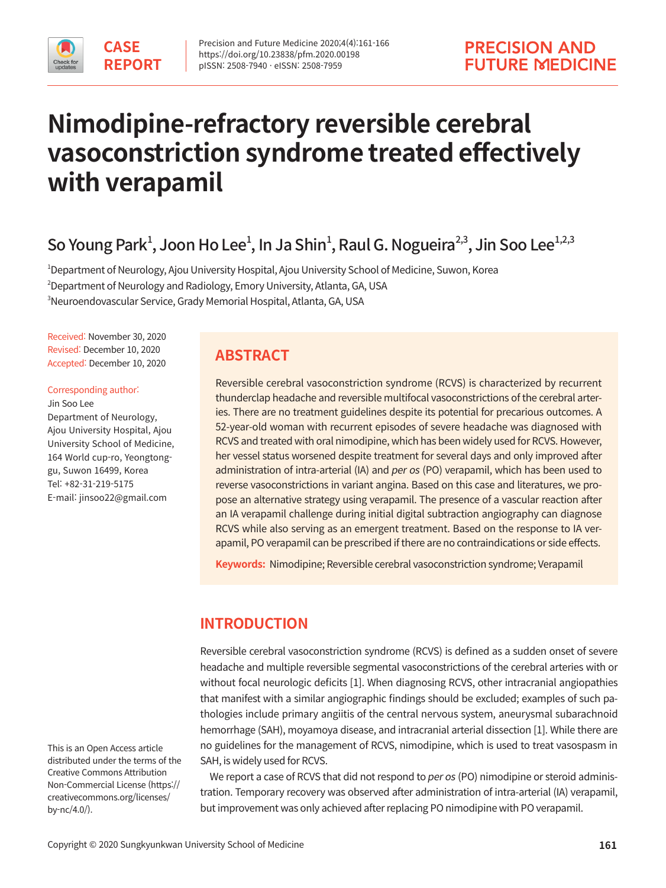

# **Nimodipine-refractory reversible cerebral vasoconstriction syndrome treated effectively with verapamil**

So Young Park<sup>1</sup>, Joon Ho Lee<sup>1</sup>, In Ja Shin<sup>1</sup>, Raul G. Nogueira<sup>2,3</sup>, Jin Soo Lee<sup>1,2,3</sup>

1 Department of Neurology, Ajou University Hospital, Ajou University School of Medicine, Suwon, Korea  $^2$ Department of Neurology and Radiology, Emory University, Atlanta, GA, USA 3 Neuroendovascular Service, Grady Memorial Hospital, Atlanta, GA, USA

Received: November 30, 2020 Revised: December 10, 2020 Accepted: December 10, 2020

Corresponding author: Jin Soo Lee Department of Neurology, Ajou University Hospital, Ajou University School of Medicine, 164 World cup-ro, Yeongtonggu, Suwon 16499, Korea Tel: +82-31-219-5175 E-mail: jinsoo22@gmail.com

# **ABSTRACT**

Reversible cerebral vasoconstriction syndrome (RCVS) is characterized by recurrent thunderclap headache and reversible multifocal vasoconstrictions of the cerebral arteries. There are no treatment guidelines despite its potential for precarious outcomes. A 52-year-old woman with recurrent episodes of severe headache was diagnosed with RCVS and treated with oral nimodipine, which has been widely used for RCVS. However, her vessel status worsened despite treatment for several days and only improved after administration of intra-arterial (IA) and per os (PO) verapamil, which has been used to reverse vasoconstrictions in variant angina. Based on this case and literatures, we propose an alternative strategy using verapamil. The presence of a vascular reaction after an IA verapamil challenge during initial digital subtraction angiography can diagnose RCVS while also serving as an emergent treatment. Based on the response to IA verapamil, PO verapamil can be prescribed if there are no contraindications or side effects.

**Keywords:** Nimodipine; Reversible cerebral vasoconstriction syndrome; Verapamil

# **INTRODUCTION**

Reversible cerebral vasoconstriction syndrome (RCVS) is defined as a sudden onset of severe headache and multiple reversible segmental vasoconstrictions of the cerebral arteries with or without focal neurologic deficits [1]. When diagnosing RCVS, other intracranial angiopathies that manifest with a similar angiographic findings should be excluded; examples of such pathologies include primary angiitis of the central nervous system, aneurysmal subarachnoid hemorrhage (SAH), moyamoya disease, and intracranial arterial dissection [1]. While there are no guidelines for the management of RCVS, nimodipine, which is used to treat vasospasm in SAH, is widely used for RCVS.

We report a case of RCVS that did not respond to per os (PO) nimodipine or steroid administration. Temporary recovery was observed after administration of intra-arterial (IA) verapamil, but improvement was only achieved after replacing PO nimodipine with PO verapamil.

This is an Open Access article distributed under the terms of the Creative Commons Attribution Non-Commercial License (https:// creativecommons.org/licenses/ by-nc/4.0/).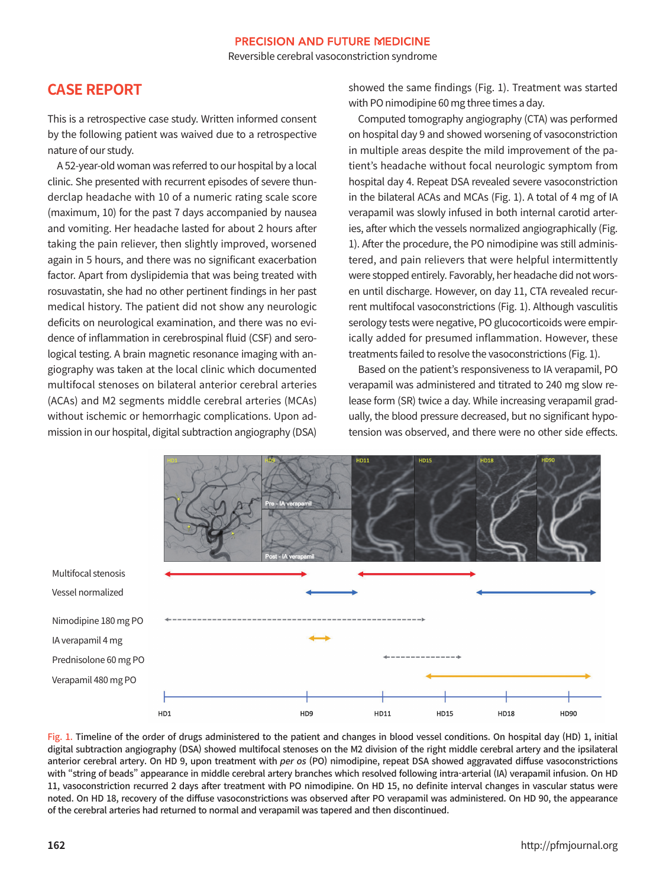Reversible cerebral vasoconstriction syndrome

# **CASE REPORT**

This is a retrospective case study. Written informed consent by the following patient was waived due to a retrospective nature of our study.

A 52-year-old woman was referred to our hospital by a local clinic. She presented with recurrent episodes of severe thunderclap headache with 10 of a numeric rating scale score (maximum, 10) for the past 7 days accompanied by nausea and vomiting. Her headache lasted for about 2 hours after taking the pain reliever, then slightly improved, worsened again in 5 hours, and there was no significant exacerbation factor. Apart from dyslipidemia that was being treated with rosuvastatin, she had no other pertinent findings in her past medical history. The patient did not show any neurologic deficits on neurological examination, and there was no evidence of inflammation in cerebrospinal fluid (CSF) and serological testing. A brain magnetic resonance imaging with angiography was taken at the local clinic which documented multifocal stenoses on bilateral anterior cerebral arteries (ACAs) and M2 segments middle cerebral arteries (MCAs) without ischemic or hemorrhagic complications. Upon admission in our hospital, digital subtraction angiography (DSA)

showed the same findings (Fig. 1). Treatment was started with PO nimodipine 60 mg three times a day.

Computed tomography angiography (CTA) was performed on hospital day 9 and showed worsening of vasoconstriction in multiple areas despite the mild improvement of the patient's headache without focal neurologic symptom from hospital day 4. Repeat DSA revealed severe vasoconstriction in the bilateral ACAs and MCAs (Fig. 1). A total of 4 mg of IA verapamil was slowly infused in both internal carotid arteries, after which the vessels normalized angiographically (Fig. 1). After the procedure, the PO nimodipine was still administered, and pain relievers that were helpful intermittently were stopped entirely. Favorably, her headache did not worsen until discharge. However, on day 11, CTA revealed recurrent multifocal vasoconstrictions (Fig. 1). Although vasculitis serology tests were negative, PO glucocorticoids were empirically added for presumed inflammation. However, these treatments failed to resolve the vasoconstrictions (Fig. 1).

Based on the patient's responsiveness to IA verapamil, PO verapamil was administered and titrated to 240 mg slow release form (SR) twice a day. While increasing verapamil gradually, the blood pressure decreased, but no significant hypotension was observed, and there were no other side effects.



Fig. 1. Timeline of the order of drugs administered to the patient and changes in blood vessel conditions. On hospital day (HD) 1, initial digital subtraction angiography (DSA) showed multifocal stenoses on the M2 division of the right middle cerebral artery and the ipsilateral anterior cerebral artery. On HD 9, upon treatment with per os (PO) nimodipine, repeat DSA showed aggravated diffuse vasoconstrictions with "string of beads" appearance in middle cerebral artery branches which resolved following intra-arterial (IA) verapamil infusion. On HD 11, vasoconstriction recurred 2 days after treatment with PO nimodipine. On HD 15, no definite interval changes in vascular status were noted. On HD 18, recovery of the diffuse vasoconstrictions was observed after PO verapamil was administered. On HD 90, the appearance of the cerebral arteries had returned to normal and verapamil was tapered and then discontinued.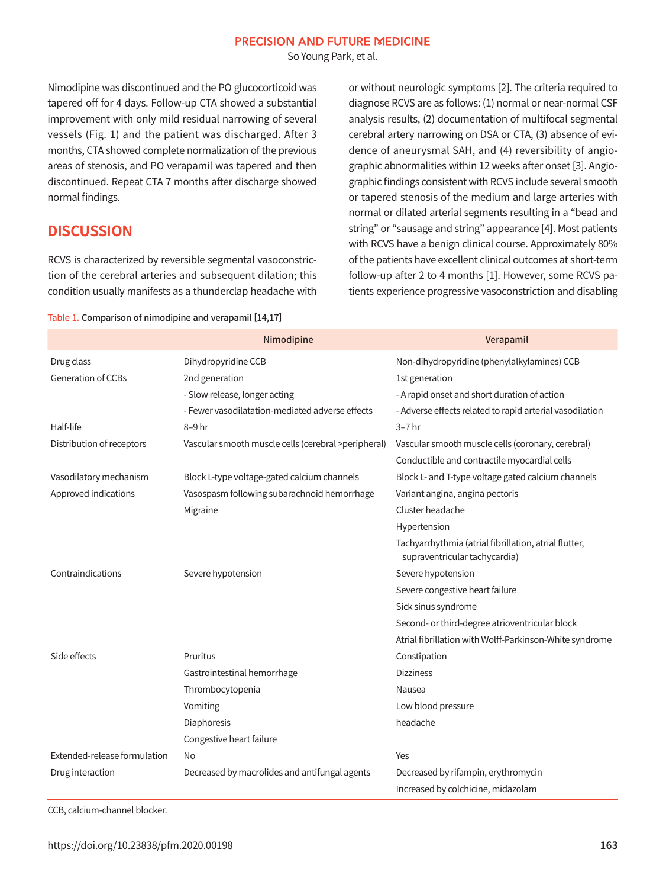So Young Park, et al.

Nimodipine was discontinued and the PO glucocorticoid was tapered off for 4 days. Follow-up CTA showed a substantial improvement with only mild residual narrowing of several vessels (Fig. 1) and the patient was discharged. After 3 months, CTA showed complete normalization of the previous areas of stenosis, and PO verapamil was tapered and then discontinued. Repeat CTA 7 months after discharge showed normal findings.

## **DISCUSSION**

RCVS is characterized by reversible segmental vasoconstriction of the cerebral arteries and subsequent dilation; this condition usually manifests as a thunderclap headache with or without neurologic symptoms [2]. The criteria required to diagnose RCVS are as follows: (1) normal or near-normal CSF analysis results, (2) documentation of multifocal segmental cerebral artery narrowing on DSA or CTA, (3) absence of evidence of aneurysmal SAH, and (4) reversibility of angiographic abnormalities within 12 weeks after onset [3]. Angiographic findings consistent with RCVS include several smooth or tapered stenosis of the medium and large arteries with normal or dilated arterial segments resulting in a "bead and string" or "sausage and string" appearance [4]. Most patients with RCVS have a benign clinical course. Approximately 80% of the patients have excellent clinical outcomes at short-term follow-up after 2 to 4 months [1]. However, some RCVS patients experience progressive vasoconstriction and disabling

#### Table 1. Comparison of nimodipine and verapamil [14,17]

|                              | Nimodipine                                          | Verapamil                                                                              |
|------------------------------|-----------------------------------------------------|----------------------------------------------------------------------------------------|
| Drug class                   | Dihydropyridine CCB                                 | Non-dihydropyridine (phenylalkylamines) CCB                                            |
| <b>Generation of CCBs</b>    | 2nd generation                                      | 1st generation                                                                         |
|                              | - Slow release, longer acting                       | - A rapid onset and short duration of action                                           |
|                              | - Fewer vasodilatation-mediated adverse effects     | - Adverse effects related to rapid arterial vasodilation                               |
| Half-life                    | 8-9 hr                                              | $3-7$ hr                                                                               |
| Distribution of receptors    | Vascular smooth muscle cells (cerebral >peripheral) | Vascular smooth muscle cells (coronary, cerebral)                                      |
|                              |                                                     | Conductible and contractile myocardial cells                                           |
| Vasodilatory mechanism       | Block L-type voltage-gated calcium channels         | Block L- and T-type voltage gated calcium channels                                     |
| Approved indications         | Vasospasm following subarachnoid hemorrhage         | Variant angina, angina pectoris                                                        |
|                              | Migraine                                            | Cluster headache                                                                       |
|                              |                                                     | Hypertension                                                                           |
|                              |                                                     | Tachyarrhythmia (atrial fibrillation, atrial flutter,<br>supraventricular tachycardia) |
| Contraindications            | Severe hypotension                                  | Severe hypotension                                                                     |
|                              |                                                     | Severe congestive heart failure                                                        |
|                              |                                                     | Sick sinus syndrome                                                                    |
|                              |                                                     | Second- or third-degree atrioventricular block                                         |
|                              |                                                     | Atrial fibrillation with Wolff-Parkinson-White syndrome                                |
| Side effects                 | Pruritus                                            | Constipation                                                                           |
|                              | Gastrointestinal hemorrhage                         | <b>Dizziness</b>                                                                       |
|                              | Thrombocytopenia                                    | Nausea                                                                                 |
|                              | Vomiting                                            | Low blood pressure                                                                     |
|                              | Diaphoresis                                         | headache                                                                               |
|                              | Congestive heart failure                            |                                                                                        |
| Extended-release formulation | No                                                  | Yes                                                                                    |
| Drug interaction             | Decreased by macrolides and antifungal agents       | Decreased by rifampin, erythromycin                                                    |
|                              |                                                     | Increased by colchicine, midazolam                                                     |

CCB, calcium-channel blocker.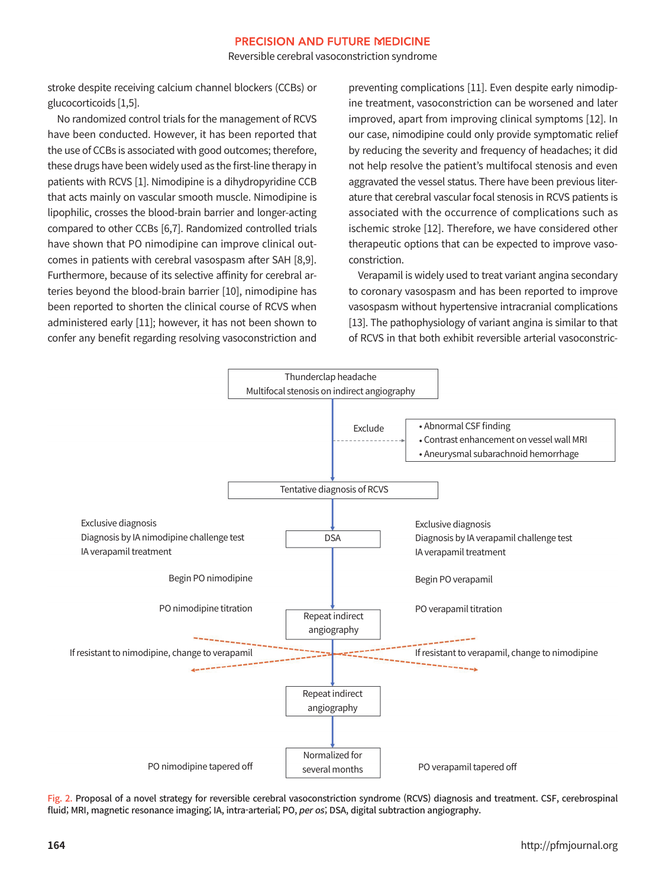Reversible cerebral vasoconstriction syndrome

stroke despite receiving calcium channel blockers (CCBs) or glucocorticoids [1,5].

No randomized control trials for the management of RCVS have been conducted. However, it has been reported that the use of CCBs is associated with good outcomes; therefore, these drugs have been widely used as the first-line therapy in patients with RCVS [1]. Nimodipine is a dihydropyridine CCB that acts mainly on vascular smooth muscle. Nimodipine is lipophilic, crosses the blood-brain barrier and longer-acting compared to other CCBs [6,7]. Randomized controlled trials have shown that PO nimodipine can improve clinical outcomes in patients with cerebral vasospasm after SAH [8,9]. Furthermore, because of its selective affinity for cerebral arteries beyond the blood-brain barrier [10], nimodipine has been reported to shorten the clinical course of RCVS when administered early [11]; however, it has not been shown to confer any benefit regarding resolving vasoconstriction and

preventing complications [11]. Even despite early nimodipine treatment, vasoconstriction can be worsened and later improved, apart from improving clinical symptoms [12]. In our case, nimodipine could only provide symptomatic relief by reducing the severity and frequency of headaches; it did not help resolve the patient's multifocal stenosis and even aggravated the vessel status. There have been previous literature that cerebral vascular focal stenosis in RCVS patients is associated with the occurrence of complications such as ischemic stroke [12]. Therefore, we have considered other therapeutic options that can be expected to improve vasoconstriction.

Verapamil is widely used to treat variant angina secondary to coronary vasospasm and has been reported to improve vasospasm without hypertensive intracranial complications [13]. The pathophysiology of variant angina is similar to that of RCVS in that both exhibit reversible arterial vasoconstric-



Fig. 2. Proposal of a novel strategy for reversible cerebral vasoconstriction syndrome (RCVS) diagnosis and treatment. CSF, cerebrospinal fluid; MRI, magnetic resonance imaging; IA, intra-arterial; PO, per os; DSA, digital subtraction angiography.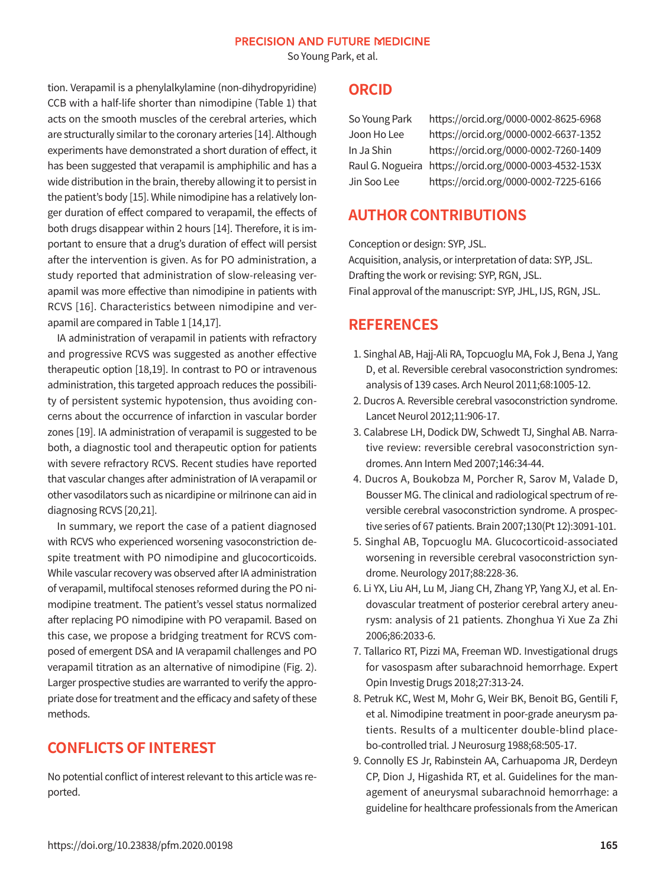So Young Park, et al.

tion. Verapamil is a phenylalkylamine (non-dihydropyridine) CCB with a half-life shorter than nimodipine (Table 1) that acts on the smooth muscles of the cerebral arteries, which are structurally similar to the coronary arteries [14]. Although experiments have demonstrated a short duration of effect, it has been suggested that verapamil is amphiphilic and has a wide distribution in the brain, thereby allowing it to persist in the patient's body [15]. While nimodipine has a relatively longer duration of effect compared to verapamil, the effects of both drugs disappear within 2 hours [14]. Therefore, it is important to ensure that a drug's duration of effect will persist after the intervention is given. As for PO administration, a study reported that administration of slow-releasing verapamil was more effective than nimodipine in patients with RCVS [16]. Characteristics between nimodipine and verapamil are compared in Table 1 [14,17].

IA administration of verapamil in patients with refractory and progressive RCVS was suggested as another effective therapeutic option [18,19]. In contrast to PO or intravenous administration, this targeted approach reduces the possibility of persistent systemic hypotension, thus avoiding concerns about the occurrence of infarction in vascular border zones [19]. IA administration of verapamil is suggested to be both, a diagnostic tool and therapeutic option for patients with severe refractory RCVS. Recent studies have reported that vascular changes after administration of IA verapamil or other vasodilators such as nicardipine or milrinone can aid in diagnosing RCVS [20,21].

In summary, we report the case of a patient diagnosed with RCVS who experienced worsening vasoconstriction despite treatment with PO nimodipine and glucocorticoids. While vascular recovery was observed after IA administration of verapamil, multifocal stenoses reformed during the PO nimodipine treatment. The patient's vessel status normalized after replacing PO nimodipine with PO verapamil. Based on this case, we propose a bridging treatment for RCVS composed of emergent DSA and IA verapamil challenges and PO verapamil titration as an alternative of nimodipine (Fig. 2). Larger prospective studies are warranted to verify the appropriate dose for treatment and the efficacy and safety of these methods.

# **CONFLICTS OF INTEREST**

No potential conflict of interest relevant to this article was reported.

### **ORCID**

So Young Park https://orcid.org/0000-0002-8625-6968 Joon Ho Lee https://orcid.org/0000-0002-6637-1352 In Ja Shin https://orcid.org/0000-0002-7260-1409 Raul G. Nogueira https://orcid.org/0000-0003-4532-153X Jin Soo Lee https://orcid.org/0000-0002-7225-6166

# **AUTHOR CONTRIBUTIONS**

Conception or design: SYP, JSL. Acquisition, analysis, or interpretation of data: SYP, JSL. Drafting the work or revising: SYP, RGN, JSL. Final approval of the manuscript: SYP, JHL, IJS, RGN, JSL.

# **REFERENCES**

- 1. Singhal AB, Hajj-Ali RA, Topcuoglu MA, Fok J, Bena J, Yang D, et al. Reversible cerebral vasoconstriction syndromes: analysis of 139 cases. Arch Neurol 2011;68:1005-12.
- 2. Ducros A. Reversible cerebral vasoconstriction syndrome. Lancet Neurol 2012;11:906-17.
- 3. Calabrese LH, Dodick DW, Schwedt TJ, Singhal AB. Narrative review: reversible cerebral vasoconstriction syndromes. Ann Intern Med 2007;146:34-44.
- 4. Ducros A, Boukobza M, Porcher R, Sarov M, Valade D, Bousser MG. The clinical and radiological spectrum of reversible cerebral vasoconstriction syndrome. A prospective series of 67 patients. Brain 2007;130(Pt 12):3091-101.
- 5. Singhal AB, Topcuoglu MA. Glucocorticoid-associated worsening in reversible cerebral vasoconstriction syndrome. Neurology 2017;88:228-36.
- 6. Li YX, Liu AH, Lu M, Jiang CH, Zhang YP, Yang XJ, et al. Endovascular treatment of posterior cerebral artery aneurysm: analysis of 21 patients. Zhonghua Yi Xue Za Zhi 2006;86:2033-6.
- 7. Tallarico RT, Pizzi MA, Freeman WD. Investigational drugs for vasospasm after subarachnoid hemorrhage. Expert Opin Investig Drugs 2018;27:313-24.
- 8. Petruk KC, West M, Mohr G, Weir BK, Benoit BG, Gentili F, et al. Nimodipine treatment in poor-grade aneurysm patients. Results of a multicenter double-blind placebo-controlled trial. J Neurosurg 1988;68:505-17.
- 9. Connolly ES Jr, Rabinstein AA, Carhuapoma JR, Derdeyn CP, Dion J, Higashida RT, et al. Guidelines for the management of aneurysmal subarachnoid hemorrhage: a guideline for healthcare professionals from the American